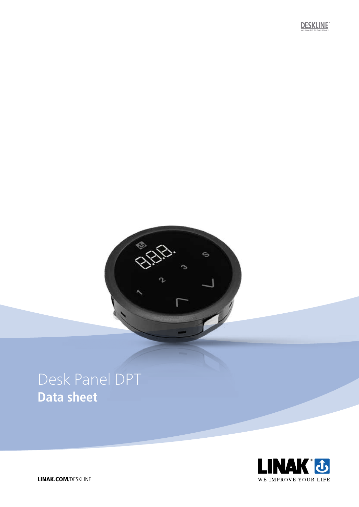# Desk Panel DPT **Data sheet**



S

C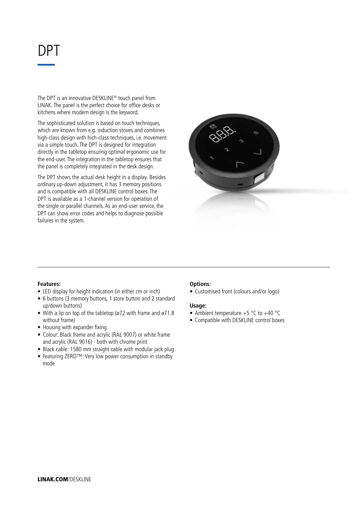## DPT

The DPT is an innovative DESKLINE® touch panel from LINAK. The panel is the perfect choice for office desks or kitchens where modern design is the keyword.

The sophisticated solution is based on touch techniques, which are known from e.g. induction stoves and combines high-class design with hich-class techniques, i.e. movement via a simple touch. The DPT is designed for integration directly in the tabletop ensuring optimal ergonomic use for the end-user. The integration in the tabletop ensures that the panel is completely integrated in the desk design.

The DPT shows the actual desk height in a display. Besides ordinary up-down adjustment, it has 3 memory positions and is compatible with all DESKLINE control boxes. The DPT is available as a 1-channel version for operation of the single or parallel channels. As an end-user service, the DPT can show error codes and helps to diagnose possible failures in the system.



### **Features:**

- LED display for height indication (in either cm or inch)
- 6 buttons (3 memory buttons, 1 store button and 2 standard up/down buttons)
- With a lip on top of the tabletop (ø72 with frame and ø71.8 without frame)
- Housing with expander fixing
- Colour: Black frame and acrylic (RAL 9007) or white frame and acrylic (RAL 9016) - both with chrome print
- Black cable: 1580 mm straight cable with modular jack plug
- Featuring ZERO™: Very low power consumption in standby mode

#### **Options:**

• Customised front (colours and/or logo)

#### **Usage:**

- Ambient temperature  $+5$  °C to  $+40$  °C
- Compatible with DESKLINE control boxes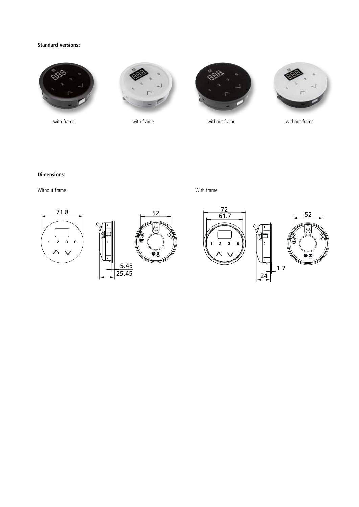#### **Standard versions:**









with frame with frame with frame with frame with frame

without frame

#### **Dimensions:**

Without frame **With frame** With frame **With frame** 



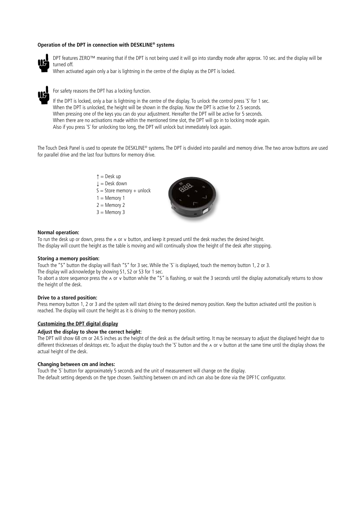#### **Operation of the DPT in connection with DESKLINE® systems**



DPT features ZERO™ meaning that if the DPT is not being used it will go into standby mode after approx. 10 sec. and the display will be turned off.

When activated again only a bar is lightning in the centre of the display as the DPT is locked.



#### For safety reasons the DPT has a locking function.

If the DPT is locked, only a bar is lightning in the centre of the display. To unlock the control press `S` for 1 sec. When the DPT is unlocked, the height will be shown in the display. Now the DPT is active for 2.5 seconds. When pressing one of the keys you can do your adjustment. Hereafter the DPT will be active for 5 seconds. When there are no activations made within the mentioned time slot, the DPT will go in to locking mode again. Also if you press ¨S¨ for unlocking too long, the DPT will unlock but immediately lock again.

The Touch Desk Panel is used to operate the DESKLINE® systems. The DPT is divided into parallel and memory drive. The two arrow buttons are used for parallel drive and the last four buttons for memory drive.

> $\uparrow$  = Desk up  $\downarrow$  = Desk down  $S =$  Store memory + unlock  $1 =$  Memory 1  $2 =$  Memory 2  $3 =$  Memory 3



#### **Normal operation:**

To run the desk up or down, press the ∧ or ∨ button, and keep it pressed until the desk reaches the desired height. The display will count the height as the table is moving and will continually show the height of the desk after stopping.

#### **Storing a memory position:**

Touch the "S" button the display will flash "S" for 3 sec. While the ¨S¨ is displayed, touch the memory button 1, 2 or 3. The display will acknowledge by showing S1, S2 or S3 for 1 sec.

To abort a store sequence press the ∧ or v button while the "S" is flashing, or wait the 3 seconds until the display automatically returns to show the height of the desk.

#### **Drive to a stored position:**

Press memory button 1, 2 or 3 and the system will start driving to the desired memory position. Keep the button activated until the position is reached. The display will count the height as it is driving to the memory position.

#### **Customizing the DPT digital display**

#### **Adjust the display to show the correct height:**

The DPT will show 68 cm or 24.5 inches as the height of the desk as the default setting. It may be necessary to adjust the displayed height due to different thicknesses of desktops etc. To adjust the display touch the ¨S¨ button and the ∧ or ∨ button at the same time until the display shows the actual height of the desk.

#### **Changing between cm and inches:**

Touch the ¨S¨ button for approximately 5 seconds and the unit of measurement will change on the display. The default setting depends on the type chosen. Switching between cm and inch can also be done via the DPF1C configurator.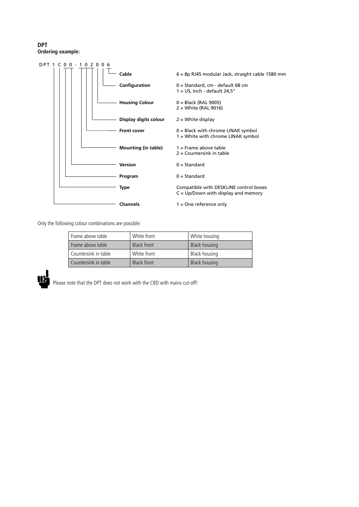#### **DPT Ordering example:**



Only the following colour combinations are possible:

| Frame above table    | White front        | White housing        |
|----------------------|--------------------|----------------------|
| Frame above table    | Black front        | <b>Black housing</b> |
| Countersink in table | White front        | Black housing        |
| Countersink in table | <b>Black front</b> | <b>Black housing</b> |



Please note that the DPT does not work with the CBD with mains cut-off!